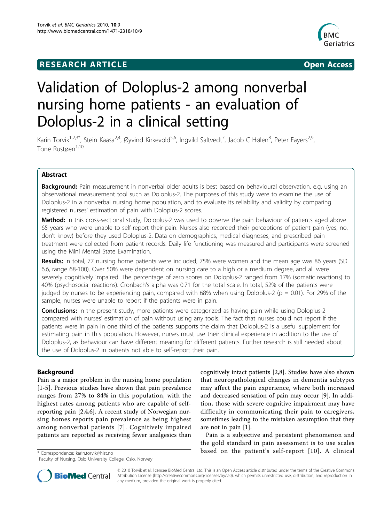## **RESEARCH ARTICLE Example 2018 12:30 THE Open Access**



# Validation of Doloplus-2 among nonverbal nursing home patients - an evaluation of Doloplus-2 in a clinical setting

Karin Torvik<sup>1,2,3\*</sup>, Stein Kaasa<sup>2,4</sup>, Øyvind Kirkevold<sup>5,6</sup>, Ingvild Saltvedt<sup>7</sup>, Jacob C Hølen<sup>8</sup>, Peter Fayers<sup>2,9</sup>, Tone Rustøen<sup>1,10</sup>

## Abstract

Background: Pain measurement in nonverbal older adults is best based on behavioural observation, e.g. using an observational measurement tool such as Doloplus-2. The purposes of this study were to examine the use of Doloplus-2 in a nonverbal nursing home population, and to evaluate its reliability and validity by comparing registered nurses' estimation of pain with Doloplus-2 scores.

Method: In this cross-sectional study, Doloplus-2 was used to observe the pain behaviour of patients aged above 65 years who were unable to self-report their pain. Nurses also recorded their perceptions of patient pain (yes, no, don't know) before they used Doloplus-2. Data on demographics, medical diagnoses, and prescribed pain treatment were collected from patient records. Daily life functioning was measured and participants were screened using the Mini Mental State Examination.

Results: In total, 77 nursing home patients were included, 75% were women and the mean age was 86 years (SD 6.6, range 68-100). Over 50% were dependent on nursing care to a high or a medium degree, and all were severely cognitively impaired. The percentage of zero scores on Doloplus-2 ranged from 17% (somatic reactions) to 40% (psychosocial reactions). Cronbach's alpha was 0.71 for the total scale. In total, 52% of the patients were judged by nurses to be experiencing pain, compared with 68% when using Doloplus-2 ( $p = 0.01$ ). For 29% of the sample, nurses were unable to report if the patients were in pain.

**Conclusions:** In the present study, more patients were categorized as having pain while using Doloplus-2 compared with nurses' estimation of pain without using any tools. The fact that nurses could not report if the patients were in pain in one third of the patients supports the claim that Doloplus-2 is a useful supplement for estimating pain in this population. However, nurses must use their clinical experience in addition to the use of Doloplus-2, as behaviour can have different meaning for different patients. Further research is still needed about the use of Doloplus-2 in patients not able to self-report their pain.

## Background

Pain is a major problem in the nursing home population [[1-5\]](#page-7-0). Previous studies have shown that pain prevalence ranges from 27% to 84% in this population, with the highest rates among patients who are capable of selfreporting pain [[2,4,6\]](#page-7-0). A recent study of Norwegian nursing homes reports pain prevalence as being highest among nonverbal patients [[7\]](#page-7-0). Cognitively impaired patients are reported as receiving fewer analgesics than

cognitively intact patients [\[2,8](#page-7-0)]. Studies have also shown that neuropathological changes in dementia subtypes may affect the pain experience, where both increased and decreased sensation of pain may occur [[9\]](#page-7-0). In addition, those with severe cognitive impairment may have difficulty in communicating their pain to caregivers, sometimes leading to the mistaken assumption that they are not in pain [\[1](#page-7-0)].

Pain is a subjective and persistent phenomenon and the gold standard in pain assessment is to use scales \*Correspondence: [karin.torvik@hist.no](mailto:karin.torvik@hist.no)<br>\*Correspondence: karin.torvik@hist.no



© 2010 Torvik et al; licensee BioMed Central Ltd. This is an Open Access article distributed under the terms of the Creative Commons Attribution License [\(http://creativecommons.org/licenses/by/2.0](http://creativecommons.org/licenses/by/2.0)), which permits unrestricted use, distribution, and reproduction in any medium, provided the original work is properly cited.

<sup>&</sup>lt;sup>1</sup> Faculty of Nursing, Oslo University College, Oslo, Norway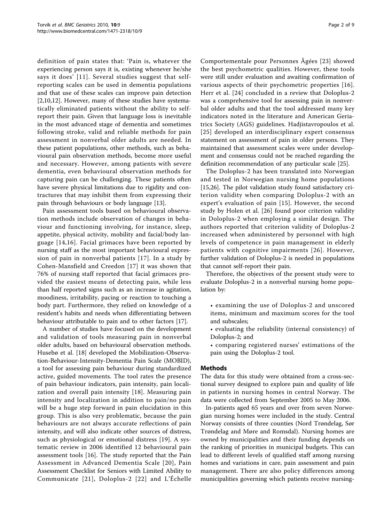definition of pain states that: 'Pain is, whatever the experiencing person says it is, existing whenever he/she says it does' [[11\]](#page-7-0). Several studies suggest that selfreporting scales can be used in dementia populations and that use of these scales can improve pain detection [[2,10,12\]](#page-7-0). However, many of these studies have systematically eliminated patients without the ability to selfreport their pain. Given that language loss is inevitable in the most advanced stage of dementia and sometimes following stroke, valid and reliable methods for pain assessment in nonverbal older adults are needed. In these patient populations, other methods, such as behavioural pain observation methods, become more useful and necessary. However, among patients with severe dementia, even behavioural observation methods for capturing pain can be challenging. These patients often have severe physical limitations due to rigidity and contractures that may inhibit them from expressing their pain through behaviours or body language [\[13](#page-7-0)].

Pain assessment tools based on behavioural observation methods include observation of changes in behaviour and functioning involving, for instance, sleep, appetite, physical activity, mobility and facial/body language [[14](#page-7-0),[16](#page-8-0)]. Facial grimaces have been reported by nursing staff as the most important behavioural expression of pain in nonverbal patients [[17](#page-8-0)]. In a study by Cohen-Mansfield and Creedon [[17](#page-8-0)] it was shown that 76% of nursing staff reported that facial grimaces provided the easiest means of detecting pain, while less than half reported signs such as an increase in agitation, moodiness, irritability, pacing or reaction to touching a body part. Furthermore, they relied on knowledge of a resident's habits and needs when differentiating between behaviour attributable to pain and to other factors [[17](#page-8-0)].

A number of studies have focused on the development and validation of tools measuring pain in nonverbal older adults, based on behavioural observation methods. Husebø et al. [[18\]](#page-8-0) developed the Mobilization-Observation-Behaviour-Intensity-Dementia Pain Scale (MOBID), a tool for assessing pain behaviour during standardized active, guided movements. The tool rates the presence of pain behaviour indicators, pain intensity, pain localization and overall pain intensity [[18](#page-8-0)]. Measuring pain intensity and localization in addition to pain/no pain will be a huge step forward in pain elucidation in this group. This is also very problematic, because the pain behaviours are not always accurate reflections of pain intensity, and will also indicate other sources of distress, such as physiological or emotional distress [\[19](#page-8-0)]. A systematic review in 2006 identified 12 behavioural pain assessment tools [[16\]](#page-8-0). The study reported that the Pain Assessment in Advanced Dementia Scale [[20](#page-8-0)], Pain Assessment Checklist for Seniors with Limited Ability to Communicate [[21](#page-8-0)], Doloplus-2 [[22\]](#page-8-0) and L'Échelle

Comportementale pour Personnes Âgées [\[23\]](#page-8-0) showed the best psychometric qualities. However, these tools were still under evaluation and awaiting confirmation of various aspects of their psychometric properties [[16](#page-8-0)]. Herr et al. [\[24](#page-8-0)] concluded in a review that Doloplus-2 was a comprehensive tool for assessing pain in nonverbal older adults and that the tool addressed many key indicators noted in the literature and American Geriatrics Society (AGS) guidelines. Hadjistavropoulos et al. [[25\]](#page-8-0) developed an interdisciplinary expert consensus statement on assessment of pain in older persons. They maintained that assessment scales were under development and consensus could not be reached regarding the definition recommendation of any particular scale [\[25](#page-8-0)].

The Doloplus-2 has been translated into Norwegian and tested in Norwegian nursing home populations [[15,26\]](#page-8-0). The pilot validation study found satisfactory criterion validity when comparing Doloplus-2 with an expert's evaluation of pain [[15\]](#page-8-0). However, the second study by Holen et al. [[26\]](#page-8-0) found poor criterion validity in Doloplus-2 when employing a similar design. The authors reported that criterion validity of Doloplus-2 increased when administered by personnel with high levels of competence in pain management in elderly patients with cognitive impairments [[26\]](#page-8-0). However, further validation of Doloplus-2 is needed in populations that cannot self-report their pain.

Therefore, the objectives of the present study were to evaluate Doloplus-2 in a nonverbal nursing home population by:

- examining the use of Doloplus-2 and unscored items, minimum and maximum scores for the tool and subscales;
- evaluating the reliability (internal consistency) of Doloplus-2; and
- comparing registered nurses' estimations of the pain using the Doloplus-2 tool.

### Methods

The data for this study were obtained from a cross-sectional survey designed to explore pain and quality of life in patients in nursing homes in central Norway. The data were collected from September 2005 to May 2006.

In-patients aged 65 years and over from seven Norwegian nursing homes were included in the study. Central Norway consists of three counties (Nord Trøndelag, Sør Trøndelag and Møre and Romsdal). Nursing homes are owned by municipalities and their funding depends on the ranking of priorities in municipal budgets. This can lead to different levels of qualified staff among nursing homes and variations in care, pain assessment and pain management. There are also policy differences among municipalities governing which patients receive nursing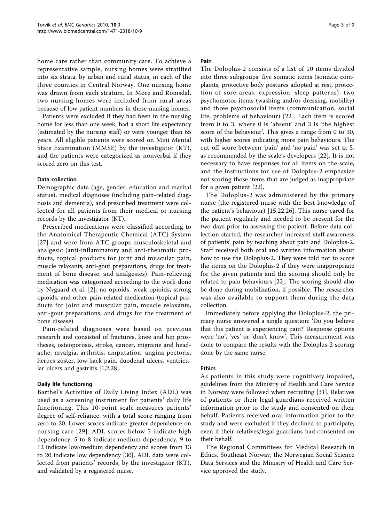home care rather than community care. To achieve a representative sample, nursing homes were stratified into six strata, by urban and rural status, in each of the three counties in Central Norway. One nursing home was drawn from each stratum. In Møre and Romsdal, two nursing homes were included from rural areas because of low patient numbers in these nursing homes.

Patients were excluded if they had been in the nursing home for less than one week, had a short life expectancy (estimated by the nursing staff) or were younger than 65 years. All eligible patients were scored on Mini Mental State Examination (MMSE) by the investigator (KT), and the patients were categorized as nonverbal if they scored zero on this test.

#### Data collection

Demographic data (age, gender, education and marital status), medical diagnoses (including pain-related diagnosis and dementia), and prescribed treatment were collected for all patients from their medical or nursing records by the investigator (KT).

Prescribed medications were classified according to the Anatomical Therapeutic Chemical (ATC) System [[27](#page-8-0)] and were from ATC groups musculoskeletal and analgesic (anti-inflammatory and anti-rheumatic products, topical products for joint and muscular pain, muscle relaxants, anti-gout preparations, drugs for treatment of bone disease, and analgesics). Pain-relieving medication was categorized according to the work done by Nygaard et al. [[2](#page-7-0)]: no opioids, weak opioids, strong opioids, and other pain-related medication (topical products for joint and muscular pain, muscle relaxants, anti-gout preparations, and drugs for the treatment of bone disease).

Pain-related diagnoses were based on previous research and consisted of fractures, knee and hip prostheses, osteoporosis, stroke, cancer, migraine and headache, myalgia, arthritis, amputation, angina pectoris, herpes zoster, low-back pain, duodenal ulcers, ventricular ulcers and gastritis [\[1,2,](#page-7-0)[28\]](#page-8-0).

#### Daily life functioning

Barthel's Activities of Daily Living Index (ADL) was used as a screening instrument for patients' daily life functioning. This 10-point scale measures patients' degree of self-reliance, with a total score ranging from zero to 20. Lower scores indicate greater dependence on nursing care [[29\]](#page-8-0). ADL scores below 5 indicate high dependency, 5 to 8 indicate medium dependency, 9 to 12 indicate low/medium dependency and scores from 13 to 20 indicate low dependency [\[30\]](#page-8-0). ADL data were collected from patients' records, by the investigator (KT), and validated by a registered nurse.

#### Pain

The Doloplus-2 consists of a list of 10 items divided into three subgroups: five somatic items (somatic complaints, protective body postures adopted at rest, protection of sore areas, expression, sleep patterns), two psychomotor items (washing and/or dressing, mobility) and three psychosocial items (communication, social life, problems of behaviour) [[22\]](#page-8-0). Each item is scored from 0 to 3, where 0 is 'absent' and 3 is 'the highest score of the behaviour'. This gives a range from 0 to 30, with higher scores indicating more pain behaviours. The cut-off score between 'pain' and 'no pain' was set at 5, as recommended by the scale's developers [[22\]](#page-8-0). It is not necessary to have responses for all items on the scale, and the instructions for use of Doloplus-2 emphasize not scoring those items that are judged as inappropriate for a given patient [\[22](#page-8-0)].

The Doloplus-2 was administered by the primary nurse (the registered nurse with the best knowledge of the patient's behaviour) [[15,22,26](#page-8-0)]. This nurse cared for the patient regularly and needed to be present for the two days prior to assessing the patient. Before data collection started, the researcher increased staff awareness of patients' pain by teaching about pain and Doloplus-2. Staff received both oral and written information about how to use the Doloplus-2. They were told not to score the items on the Doloplus-2 if they were inappropriate for the given patients and the scoring should only be related to pain behaviours [\[22](#page-8-0)]. The scoring should also be done during mobilization, if possible. The researcher was also available to support them during the data collection.

Immediately before applying the Doloplus-2, the primary nurse answered a single question: 'Do you believe that this patient is experiencing pain?' Response options were 'no', 'yes' or 'don't know'. This measurement was done to compare the results with the Doloplus-2 scoring done by the same nurse.

#### Ethics

As patients in this study were cognitively impaired, guidelines from the Ministry of Health and Care Service in Norway were followed when recruiting [\[31\]](#page-8-0). Relatives of patients or their legal guardians received written information prior to the study and consented on their behalf. Patients received oral information prior to the study and were excluded if they declined to participate, even if their relatives/legal guardians had consented on their behalf.

The Regional Committees for Medical Research in Ethics, Southeast Norway, the Norwegian Social Science Data Services and the Ministry of Health and Care Service approved the study.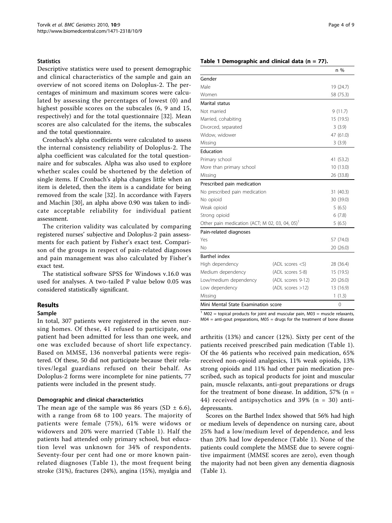#### <span id="page-3-0"></span>**Statistics**

Descriptive statistics were used to present demographic and clinical characteristics of the sample and gain an overview of not scored items on Doloplus-2. The percentages of minimum and maximum scores were calculated by assessing the percentages of lowest (0) and highest possible scores on the subscales (6, 9 and 15, respectively) and for the total questionnaire [[32](#page-8-0)]. Mean scores are also calculated for the items, the subscales and the total questionnaire.

Cronbach's alpha coefficients were calculated to assess the internal consistency reliability of Doloplus-2. The alpha coefficient was calculated for the total questionnaire and for subscales. Alpha was also used to explore whether scales could be shortened by the deletion of single items. If Cronbach's alpha changes little when an item is deleted, then the item is a candidate for being removed from the scale [\[32](#page-8-0)]. In accordance with Fayers and Machin [\[30](#page-8-0)], an alpha above 0.90 was taken to indicate acceptable reliability for individual patient assessment.

The criterion validity was calculated by comparing registered nurses' subjective and Doloplus-2 pain assessments for each patient by Fisher's exact test. Comparison of the groups in respect of pain-related diagnoses and pain management was also calculated by Fisher's exact test.

The statistical software SPSS for Windows v.16.0 was used for analyses. A two-tailed P value below 0.05 was considered statistically significant.

### Results

#### Sample

In total, 307 patients were registered in the seven nursing homes. Of these, 41 refused to participate, one patient had been admitted for less than one week, and one was excluded because of short life expectancy. Based on MMSE, 136 nonverbal patients were registered. Of these, 50 did not participate because their relatives/legal guardians refused on their behalf. As Doloplus-2 forms were incomplete for nine patients, 77 patients were included in the present study.

#### Demographic and clinical characteristics

The mean age of the sample was 86 years (SD  $\pm$  6.6), with a range from 68 to 100 years. The majority of patients were female (75%), 61% were widows or widowers and 20% were married (Table 1). Half the patients had attended only primary school, but education level was unknown for 34% of respondents. Seventy-four per cent had one or more known painrelated diagnoses (Table 1), the most frequent being stroke (31%), fractures (24%), angina (15%), myalgia and

#### Table 1 Demographic and clinical data ( $n = 77$ ).

|                                               |                      | n %       |  |
|-----------------------------------------------|----------------------|-----------|--|
| Gender                                        |                      |           |  |
| Male                                          |                      | 19 (24.7) |  |
| Women                                         |                      | 58 (75.3) |  |
| Marital status                                |                      |           |  |
| Not married                                   |                      | 9(11.7)   |  |
| Married, cohabiting                           |                      | 15 (19.5) |  |
| Divorced, separated                           |                      | 3(3.9)    |  |
| Widow, widower                                |                      | 47 (61.0) |  |
| Missing                                       |                      | 3(3.9)    |  |
| Education                                     |                      |           |  |
| Primary school                                |                      | 41 (53.2) |  |
| More than primary school                      |                      | 10 (13.0) |  |
| Missing                                       |                      | 26 (33.8) |  |
| Prescribed pain medication                    |                      |           |  |
| No prescribed pain medication                 |                      | 31 (40.3) |  |
| No opioid                                     |                      | 30 (39.0) |  |
| Weak opioid                                   |                      | 5(6.5)    |  |
| Strong opioid                                 |                      | 6(7.8)    |  |
| Other pain medication (ACT; M 02, 03, 04, 05) | 5(6.5)               |           |  |
| Pain-related diagnoses                        |                      |           |  |
| Yes                                           |                      | 57 (74.0) |  |
| Nο                                            |                      | 20 (26.0) |  |
| <b>Barthel index</b>                          |                      |           |  |
| High dependency                               | $(ADL$ scores $< 5)$ | 28 (36.4) |  |
| Medium dependency                             | (ADL scores 5-8)     | 15 (19.5) |  |
| Low/medium dependency                         | (ADL scores 9-12)    | 20 (26.0) |  |
| Low dependency                                | (ADL scores > 12)    | 13 (16.9) |  |
| Missing                                       |                      | 1(1.3)    |  |
| Mini Mental State Examination score           | $\Omega$             |           |  |

 $1$  M02 = topical products for joint and muscular pain, M03 = muscle relaxants,  $M04$  = anti-gout preparations,  $M05$  = drugs for the treatment of bone disease

arthritis (13%) and cancer (12%). Sixty per cent of the patients received prescribed pain medication (Table 1). Of the 46 patients who received pain medication, 65% received non-opioid analgesics, 11% weak opioids, 13% strong opioids and 11% had other pain medication prescribed, such as topical products for joint and muscular pain, muscle relaxants, anti-gout preparations or drugs for the treatment of bone disease. In addition,  $57\%$  (n = 44) received antipsychotics and 39% (n = 30) antidepressants.

Scores on the Barthel Index showed that 56% had high or medium levels of dependence on nursing care, about 25% had a low/medium level of dependence, and less than 20% had low dependence (Table 1). None of the patients could complete the MMSE due to severe cognitive impairment (MMSE scores are zero), even though the majority had not been given any dementia diagnosis (Table 1).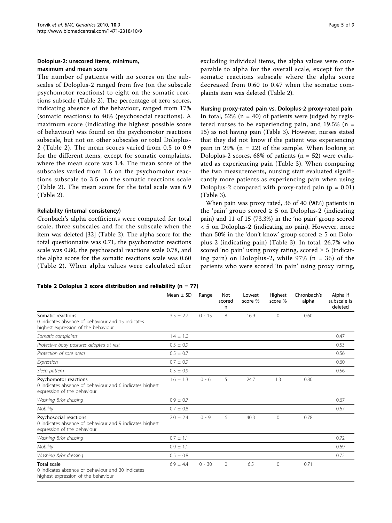#### <span id="page-4-0"></span>Doloplus-2: unscored items, minimum, maximum and mean score

The number of patients with no scores on the subscales of Doloplus-2 ranged from five (on the subscale psychomotor reactions) to eight on the somatic reactions subscale (Table 2). The percentage of zero scores, indicating absence of the behaviour, ranged from 17% (somatic reactions) to 40% (psychosocial reactions). A maximum score (indicating the highest possible score of behaviour) was found on the psychomotor reactions subscale, but not on other subscales or total Doloplus-2 (Table 2). The mean scores varied from 0.5 to 0.9 for the different items, except for somatic complaints, where the mean score was 1.4. The mean score of the subscales varied from 1.6 on the psychomotor reactions subscale to 3.5 on the somatic reactions scale (Table 2). The mean score for the total scale was 6.9 (Table 2).

#### Reliability (internal consistency)

Cronbach's alpha coefficients were computed for total scale, three subscales and for the subscale when the item was deleted [[32\]](#page-8-0) (Table 2). The alpha score for the total questionnaire was 0.71, the psychomotor reactions scale was 0.80, the psychosocial reactions scale 0.78, and the alpha score for the somatic reactions scale was 0.60 (Table 2). When alpha values were calculated after excluding individual items, the alpha values were comparable to alpha for the overall scale, except for the somatic reactions subscale where the alpha score decreased from 0.60 to 0.47 when the somatic complaints item was deleted (Table 2).

Nursing proxy-rated pain vs. Doloplus-2 proxy-rated pain In total,  $52\%$  (n = 40) of patients were judged by registered nurses to be experiencing pain, and  $19.5\%$  (n = 15) as not having pain (Table [3\)](#page-5-0). However, nurses stated that they did not know if the patient was experiencing pain in 29% ( $n = 22$ ) of the sample. When looking at Doloplus-2 scores,  $68\%$  of patients ( $n = 52$ ) were evaluated as experiencing pain (Table [3\)](#page-5-0). When comparing the two measurements, nursing staff evaluated significantly more patients as experiencing pain when using Doloplus-2 compared with proxy-rated pain ( $p = 0.01$ ) (Table [3\)](#page-5-0).

When pain was proxy rated, 36 of 40 (90%) patients in the 'pain' group scored  $\geq$  5 on Doloplus-2 (indicating pain) and 11 of 15 (73.3%) in the 'no pain' group scored < 5 on Doloplus-2 (indicating no pain). However, more than 50% in the 'don't know' group scored  $\geq$  5 on Doloplus-2 (indicating pain) (Table [3](#page-5-0)). In total, 26.7% who scored 'no pain' using proxy rating, scored  $\geq$  5 (indicating pain) on Doloplus-2, while  $97\%$  (n = 36) of the patients who were scored 'in pain' using proxy rating,

#### Table 2 Doloplus 2 score distribution and reliability ( $n = 77$ )

|                                                                                                                   | Mean $\pm$ SD | Range    | Not<br>scored<br>n | Lowest<br>score % | Highest<br>score % | Chronbach's<br>alpha | Alpha if<br>subscale is<br>deleted |
|-------------------------------------------------------------------------------------------------------------------|---------------|----------|--------------------|-------------------|--------------------|----------------------|------------------------------------|
| Somatic reactions<br>0 indicates absence of behaviour and 15 indicates<br>highest expression of the behaviour     | $3.5 \pm 2.7$ | $0 - 15$ | 8                  | 16.9              | $\Omega$           | 0.60                 |                                    |
| Somatic complaints                                                                                                | $1.4 \pm 1.0$ |          |                    |                   |                    |                      | 0.47                               |
| Protective body postures adopted at rest                                                                          | $0.5 \pm 0.9$ |          |                    |                   |                    |                      | 0.53                               |
| Protection of sore areas                                                                                          | $0.5 \pm 0.7$ |          |                    |                   |                    |                      | 0.56                               |
| Expression                                                                                                        | $0.7 \pm 0.9$ |          |                    |                   |                    |                      | 0.60                               |
| Sleep pattern                                                                                                     | $0.5 \pm 0.9$ |          |                    |                   |                    |                      | 0.56                               |
| Psychomotor reactions<br>0 indicates absence of behaviour and 6 indicates highest<br>expression of the behaviour  | $1.6 \pm 1.3$ | $0 - 6$  | 5                  | 24.7              | 1.3                | 0.80                 |                                    |
| Washing &/or dressing                                                                                             | $0.9 \pm 0.7$ |          |                    |                   |                    |                      | 0.67                               |
| Mobility                                                                                                          | $0.7 \pm 0.8$ |          |                    |                   |                    |                      | 0.67                               |
| Psychosocial reactions<br>0 indicates absence of behaviour and 9 indicates highest<br>expression of the behaviour | $2.0 \pm 2.4$ | $0 - 9$  | 6                  | 40.3              | $\Omega$           | 0.78                 |                                    |
| Washing &/or dressing                                                                                             | $0.7 \pm 1.1$ |          |                    |                   |                    |                      | 0.72                               |
| Mobility                                                                                                          | $0.9 \pm 1.1$ |          |                    |                   |                    |                      | 0.69                               |
| Washing &/or dressing                                                                                             | $0.5 \pm 0.8$ |          |                    |                   |                    |                      | 0.72                               |
| <b>Total scale</b><br>0 indicates absence of behaviour and 30 indicates<br>highest expression of the behaviour    | $6.9 \pm 4.4$ | $0 - 30$ | $\Omega$           | 6.5               | $\Omega$           | 0.71                 |                                    |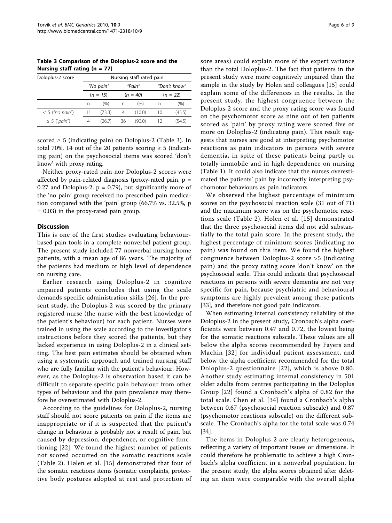<span id="page-5-0"></span>Table 3 Comparison of the Doloplus-2 score and the Nursing staff rating  $(n = 77)$ 

| Doloplus-2 score  | Nursing staff rated pain |                     |    |            |              |            |  |
|-------------------|--------------------------|---------------------|----|------------|--------------|------------|--|
|                   |                          | "Pain"<br>"No pain" |    |            | "Don't know" |            |  |
|                   |                          | $(n = 15)$          |    | $(n = 40)$ |              | $(n = 22)$ |  |
|                   | n                        | (0)                 | n  | (% )       | n            | (%)        |  |
| $< 5$ ("no pain") | 11                       | (73.3)              | 4  | (10.0)     | 10           | (45.5)     |  |
| $\geq$ 5 ("pain") |                          | (26.7)              | 36 | (90.0)     |              | (54.5)     |  |

scored  $\geq$  5 (indicating pain) on Doloplus-2 (Table 3). In total 70%, 14 out of the 20 patients scoring  $\geq 5$  (indicating pain) on the psychosocial items was scored 'don't know' with proxy rating.

Neither proxy-rated pain nor Doloplus-2 scores were affected by pain-related diagnosis (proxy-rated pain,  $p =$ 0.27 and Doloplus-2,  $p = 0.79$ ), but significantly more of the 'no pain' group received no prescribed pain medication compared with the 'pain' group (66.7% vs. 32.5%, p = 0.03) in the proxy-rated pain group.

#### **Discussion**

This is one of the first studies evaluating behaviourbased pain tools in a complete nonverbal patient group. The present study included 77 nonverbal nursing home patients, with a mean age of 86 years. The majority of the patients had medium or high level of dependence on nursing care.

Earlier research using Doloplus-2 in cognitive impaired patients concludes that using the scale demands specific administration skills [[26](#page-8-0)]. In the present study, the Doloplus-2 was scored by the primary registered nurse (the nurse with the best knowledge of the patient's behaviour) for each patient. Nurses were trained in using the scale according to the investigator's instructions before they scored the patients, but they lacked experience in using Doloplus-2 in a clinical setting. The best pain estimates should be obtained when using a systematic approach and trained nursing staff who are fully familiar with the patient's behaviour. However, as the Doloplus-2 is observation based it can be difficult to separate specific pain behaviour from other types of behaviour and the pain prevalence may therefore be overestimated with Doloplus-2.

According to the guidelines for Doloplus-2, nursing staff should not score patients on pain if the items are inappropriate or if it is suspected that the patient's change in behaviour is probably not a result of pain, but caused by depression, dependence, or cognitive functioning [\[22\]](#page-8-0). We found the highest number of patients not scored occurred on the somatic reactions scale (Table [2](#page-4-0)). Hølen et al. [\[15\]](#page-8-0) demonstrated that four of the somatic reactions items (somatic complaints, protective body postures adopted at rest and protection of sore areas) could explain more of the expert variance than the total Doloplus-2. The fact that patients in the present study were more cognitively impaired than the sample in the study by Hølen and colleagues [\[15](#page-8-0)] could explain some of the differences in the results. In the present study, the highest congruence between the Doloplus-2 score and the proxy rating score was found on the psychomotor score as nine out of ten patients scored as 'pain' by proxy rating were scored five or more on Doloplus-2 (indicating pain). This result suggests that nurses are good at interpreting psychomotor reactions as pain indicators in persons with severe dementia, in spite of these patients being partly or totally immobile and in high dependence on nursing (Table [1](#page-3-0)). It could also indicate that the nurses overestimated the patients' pain by incorrectly interpreting psychomotor behaviours as pain indicators.

We observed the highest percentage of minimum scores on the psychosocial reaction scale (31 out of 71) and the maximum score was on the psychomotor reactions scale (Table [2\)](#page-4-0). Hølen et al. [[15\]](#page-8-0) demonstrated that the three psychosocial items did not add substantially to the total pain score. In the present study, the highest percentage of minimum scores (indicating no pain) was found on this item. We found the highest congruence between Doloplus-2 score >5 (indicating pain) and the proxy rating score 'don't know' on the psychosocial scale. This could indicate that psychosocial reactions in persons with severe dementia are not very specific for pain, because psychiatric and behavioural symptoms are highly prevalent among these patients [[33\]](#page-8-0), and therefore not good pain indicators.

When estimating internal consistency reliability of the Doloplus-2 in the present study, Cronbach's alpha coefficients were between 0.47 and 0.72, the lowest being for the somatic reactions subscale. These values are all below the alpha scores recommended by Fayers and Machin [[32](#page-8-0)] for individual patient assessment, and below the alpha coefficient recommended for the total Doloplus-2 questionnaire [[22](#page-8-0)], which is above 0.80. Another study estimating internal consistency in 501 older adults from centres participating in the Doloplus Group [[22](#page-8-0)] found a Cronbach's alpha of 0.82 for the total scale. Chen et al. [[34\]](#page-8-0) found a Cronbach's alpha between 0.67 (psychosocial reaction subscale) and 0.87 (psychomotor reactions subscale) on the different subscale. The Cronbach's alpha for the total scale was 0.74 [[34\]](#page-8-0).

The items in Doloplus-2 are clearly heterogeneous, reflecting a variety of important issues or dimensions. It could therefore be problematic to achieve a high Cronbach's alpha coefficient in a nonverbal population. In the present study, the alpha scores obtained after deleting an item were comparable with the overall alpha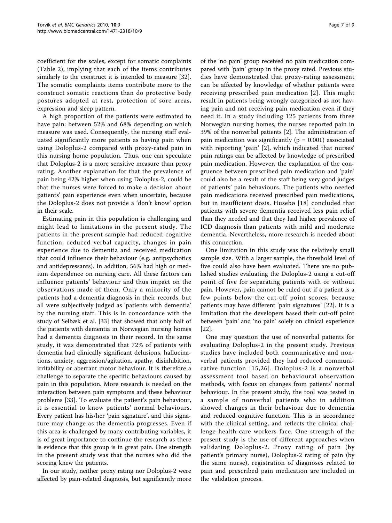coefficient for the scales, except for somatic complaints (Table [2\)](#page-4-0), implying that each of the items contributes similarly to the construct it is intended to measure [\[32](#page-8-0)]. The somatic complaints items contribute more to the construct somatic reactions than do protective body postures adopted at rest, protection of sore areas, expression and sleep pattern.

A high proportion of the patients were estimated to have pain: between 52% and 68% depending on which measure was used. Consequently, the nursing staff evaluated significantly more patients as having pain when using Doloplus-2 compared with proxy-rated pain in this nursing home population. Thus, one can speculate that Doloplus-2 is a more sensitive measure than proxy rating. Another explanation for that the prevalence of pain being 42% higher when using Doloplus-2, could be that the nurses were forced to make a decision about patients' pain experience even when uncertain, because the Doloplus-2 does not provide a 'don't know' option in their scale.

Estimating pain in this population is challenging and might lead to limitations in the present study. The patients in the present sample had reduced cognitive function, reduced verbal capacity, changes in pain experience due to dementia and received medication that could influence their behaviour (e.g. antipsychotics and antidepressants). In addition, 56% had high or medium dependence on nursing care. All these factors can influence patients' behaviour and thus impact on the observations made of them. Only a minority of the patients had a dementia diagnosis in their records, but all were subjectively judged as 'patients with dementia' by the nursing staff. This is in concordance with the study of Selbæk et al. [[33\]](#page-8-0) that showed that only half of the patients with dementia in Norwegian nursing homes had a dementia diagnosis in their record. In the same study, it was demonstrated that 72% of patients with dementia had clinically significant delusions, hallucinations, anxiety, aggression/agitation, apathy, disinhibition, irritability or aberrant motor behaviour. It is therefore a challenge to separate the specific behaviours caused by pain in this population. More research is needed on the interaction between pain symptoms and these behaviour problems [[33\]](#page-8-0). To evaluate the patient's pain behaviour, it is essential to know patients' normal behaviours. Every patient has his/her 'pain signature', and this signature may change as the dementia progresses. Even if this area is challenged by many contributing variables, it is of great importance to continue the research as there is evidence that this group is in great pain. One strength in the present study was that the nurses who did the scoring knew the patients.

In our study, neither proxy rating nor Doloplus-2 were affected by pain-related diagnosis, but significantly more

of the 'no pain' group received no pain medication compared with 'pain' group in the proxy rated. Previous studies have demonstrated that proxy-rating assessment can be affected by knowledge of whether patients were receiving prescribed pain medication [\[2\]](#page-7-0). This might result in patients being wrongly categorized as not having pain and not receiving pain medication even if they need it. In a study including 125 patients from three Norwegian nursing homes, the nurses reported pain in 39% of the nonverbal patients [[2\]](#page-7-0). The administration of pain medication was significantly ( $p = 0.001$ ) associated with reporting 'pain' [[2](#page-7-0)], which indicated that nurses' pain ratings can be affected by knowledge of prescribed pain medication. However, the explanation of the congruence between prescribed pain medication and 'pain' could also be a result of the staff being very good judges of patients' pain behaviours. The patients who needed pain medications received prescribed pain medications, but in insufficient dosis. Husebø [[18](#page-8-0)] concluded that patients with severe dementia received less pain relief than they needed and that they had higher prevalence of ICD diagnosis than patients with mild and moderate dementia. Nevertheless, more research is needed about this connection.

One limitation in this study was the relatively small sample size. With a larger sample, the threshold level of five could also have been evaluated. There are no published studies evaluating the Doloplus-2 using a cut-off point of five for separating patients with or without pain. However, pain cannot be ruled out if a patient is a few points below the cut-off point scores, because patients may have different 'pain signatures' [[22\]](#page-8-0). It is a limitation that the developers based their cut-off point between 'pain' and 'no pain' solely on clinical experience [[22\]](#page-8-0).

One may question the use of nonverbal patients for evaluating Doloplus-2 in the present study. Previous studies have included both communicative and nonverbal patients provided they had reduced communicative function [[15](#page-8-0),[26\]](#page-8-0). Doloplus-2 is a nonverbal assessment tool based on behavioural observation methods, with focus on changes from patients' normal behaviour. In the present study, the tool was tested in a sample of nonverbal patients who in addition showed changes in their behaviour due to dementia and reduced cognitive function. This is in accordance with the clinical setting, and reflects the clinical challenge health-care workers face. One strength of the present study is the use of different approaches when validating Doloplus-2. Proxy rating of pain (by patient's primary nurse), Doloplus-2 rating of pain (by the same nurse), registration of diagnoses related to pain and prescribed pain medication are included in the validation process.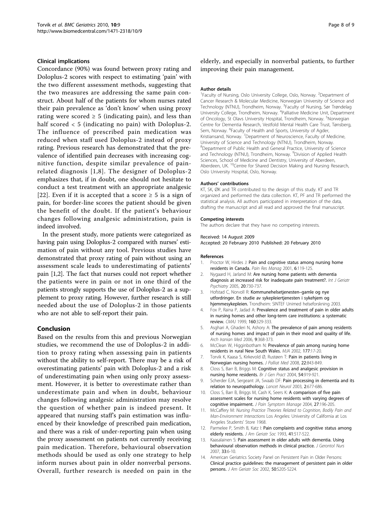#### <span id="page-7-0"></span>Clinical implications

Concordance (90%) was found between proxy rating and Doloplus-2 scores with respect to estimating 'pain' with the two different assessment methods, suggesting that the two measures are addressing the same pain construct. About half of the patients for whom nurses rated their pain prevalence as 'don't know' when using proxy rating were scored  $\geq 5$  (indicating pain), and less than half scored < 5 (indicating no pain) with Doloplus-2. The influence of prescribed pain medication was reduced when staff used Doloplus-2 instead of proxy rating. Previous research has demonstrated that the prevalence of identified pain decreases with increasing cognitive function, despite similar prevalence of painrelated diagnosis [1,8]. The designer of Doloplus-2 emphasizes that, if in doubt, one should not hesitate to conduct a test treatment with an appropriate analgesic [[22](#page-8-0)]. Even if it is accepted that a score  $\geq 5$  is a sign of pain, for border-line scores the patient should be given the benefit of the doubt. If the patient's behaviour changes following analgesic administration, pain is indeed involved.

In the present study, more patients were categorized as having pain using Doloplus-2 compared with nurses' estimation of pain without any tool. Previous studies have demonstrated that proxy rating of pain without using an assessment scale leads to underestimating of patients' pain [1,2]. The fact that nurses could not report whether the patients were in pain or not in one third of the patients strongly supports the use of Doloplus-2 as a supplement to proxy rating. However, further research is still needed about the use of Doloplus-2 in those patients who are not able to self-report their pain.

#### Conclusion

Based on the results from this and previous Norwegian studies, we recommend the use of Doloplus-2 in addition to proxy rating when assessing pain in patients without the ability to self-report. There may be a risk of overestimating patients' pain with Doloplus-2 and a risk of underestimating pain when using only proxy assessment. However, it is better to overestimate rather than underestimate pain and when in doubt, behaviour changes following analgesic administration may resolve the question of whether pain is indeed present. It appeared that nursing staff's pain estimation was influenced by their knowledge of prescribed pain medication, and there was a risk of under-reporting pain when using the proxy assessment on patients not currently receiving pain medication. Therefore, behavioural observation methods should be used as only one strategy to help inform nurses about pain in older nonverbal persons. Overall, further research is needed on pain in the

elderly, and especially in nonverbal patients, to further improving their pain management.

#### Author details

<sup>1</sup> Faculty of Nursing, Oslo University College, Oslo, Norway. <sup>2</sup> Department of Cancer Research & Molecular Medicine, Norwegian University of Science and Technology (NTNU), Trondheim, Norway. <sup>3</sup>Faculty of Nursing, Sør Trøndelag University College, Trondheim, Norway. <sup>4</sup>Palliative Medicine Unit, Department of Oncology, St Olavs University Hospital, Trondheim, Norway. <sup>5</sup>Norwegian Centre for Dementia Research, Vestfold Mental Health Care Trust, Tønsberg, Sem, Norway. <sup>6</sup>Faculty of Health and Sports, University of Agder, Kristiansand, Norway. <sup>7</sup>Department of Neuroscience, Faculty of Medicine, University of Science and Technology (NTNU), Trondheim, Norway. <sup>8</sup>Department of Public Health and General Practice, University of Science and Technology (NTNU), Trondheim, Norway. <sup>9</sup>Division of Applied Health Sciences, School of Medicine and Dentistry, University of Aberdeen, Aberdeen, UK. <sup>10</sup>Centre for Shared Decision Making and Nursing Research, Oslo University Hospital, Oslo, Norway.

#### Authors' contributions

KT, SK, ØK and TR contributed to the design of this study. KT and TR organized and performed the data collection. KT, PF and TR performed the statistical analysis. All authors participated in interpretation of the data, drafting the manuscript and all read and approved the final manuscript.

#### Competing interests

The authors declare that they have no competing interests.

## Received: 14 August 2009

Accepted: 20 February 2010 Published: 20 February 2010

#### References

- Proctor W, Hirdes J: [Pain and cognitive status among nursing home](http://www.ncbi.nlm.nih.gov/pubmed/11854774?dopt=Abstract) [residents in Canada.](http://www.ncbi.nlm.nih.gov/pubmed/11854774?dopt=Abstract) Pain Res Manag 2001, 6:119-125.
- 2. Nygaard H, Jarland M: [Are nursing home patients with dementia](http://www.ncbi.nlm.nih.gov/pubmed/16035124?dopt=Abstract) [diagnosis at increased risk for inadequate pain treatment?.](http://www.ncbi.nlm.nih.gov/pubmed/16035124?dopt=Abstract) Int J Geriatr Psychiatry 2005, 20:730-737.
- 3. Hofstad C, Norvoll R: Kommunehelsetjenesten–gamle og nye utfordringer. En studie av sykepleiertjenesten i sykehjem og hjemmesykepleien. Trondheim: SINTEF Unimed helseforskning 2003.
- 4. Fox P, Raina P, Jadad A: [Prevalence and treatment of pain in older adults](http://www.ncbi.nlm.nih.gov/pubmed/10065074?dopt=Abstract) [in nursing homes and other long-term care institutions: a systematic](http://www.ncbi.nlm.nih.gov/pubmed/10065074?dopt=Abstract) [review.](http://www.ncbi.nlm.nih.gov/pubmed/10065074?dopt=Abstract) CMAJ 1999, 160:329-333.
- 5. Asghari A, Ghaderi N, Ashory A: The prevalence of pain among residents of nursing homes and impact of pain in their mood and quality of life. Arch Iranian Med 2006, 9:368-373.
- 6. McClean W, Higginbotham N: [Prevalence of pain among nursing home](http://www.ncbi.nlm.nih.gov/pubmed/12088473?dopt=Abstract) [residents in rural New South Wales.](http://www.ncbi.nlm.nih.gov/pubmed/12088473?dopt=Abstract) MJA 2002, 177:17-20.
- 7. Torvik K, Kaasa S, Kirkevold Ø, Rustøen T: Pain in patients living in Norwegian nursing homes. J Palliat Med 2008, 22:843-849.
- 8. Closs S, Barr B, Briggs M: [Cognitive status and analgesic provision in](http://www.ncbi.nlm.nih.gov/pubmed/15588537?dopt=Abstract) [nursing home residents.](http://www.ncbi.nlm.nih.gov/pubmed/15588537?dopt=Abstract) Br J Gen Pract 2004, 54:919-921.
- 9. Scherder EJA, Sergeant JA, Swaab DF: [Pain processing in dementia and its](http://www.ncbi.nlm.nih.gov/pubmed/14572736?dopt=Abstract) [relation to neuropathology.](http://www.ncbi.nlm.nih.gov/pubmed/14572736?dopt=Abstract) Lancet Neurol 2003, 2:677-686.
- 10. Closs S, Barr B, Briggs M, Cash K, Seers K: [A comparison of five pain](http://www.ncbi.nlm.nih.gov/pubmed/15010098?dopt=Abstract) [assessment scales for nursing home residents with varying degrees of](http://www.ncbi.nlm.nih.gov/pubmed/15010098?dopt=Abstract) [cognitive impairment.](http://www.ncbi.nlm.nih.gov/pubmed/15010098?dopt=Abstract) J Pain Symptom Manage 2004, 27:196-205.
- 11. McCaffery M: Nursing Practice Theories Related to Cognition, Bodily Pain and Man-Environment Interactions Los Angeles: University of California at Los Angeles Students' Store 1968.
- 12. Parmelee P, Smith B, Katz I: [Pain complaints and cognitive status among](http://www.ncbi.nlm.nih.gov/pubmed/8486885?dopt=Abstract) [elderly residents.](http://www.ncbi.nlm.nih.gov/pubmed/8486885?dopt=Abstract) J Am Geriatr Soc 1993, 41:517-522.
- 13. Kaasalainen S: [Pain assessment in older adults with dementia. Using](http://www.ncbi.nlm.nih.gov/pubmed/17598622?dopt=Abstract) [behavioural observation methods in clinical practice.](http://www.ncbi.nlm.nih.gov/pubmed/17598622?dopt=Abstract) J Gerontol Nurs 2007, 33:6-10.
- 14. American Geriatrics Society Panel on Persistent Pain in Older Persons: [Clinical practice guidelines: the management of persistent pain in older](http://www.ncbi.nlm.nih.gov/pubmed/12067390?dopt=Abstract) [persons.](http://www.ncbi.nlm.nih.gov/pubmed/12067390?dopt=Abstract) J Am Geriatr Soc 2002, 50:S205-S224.